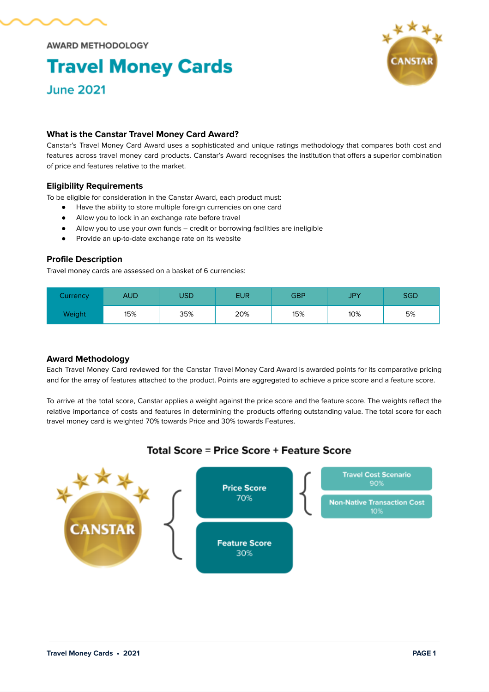

**AWARD METHODOLOGY** 

# **Travel Money Cards June 2021**



## **What is the Canstar Travel Money Card Award?**

Canstar's Travel Money Card Award uses a sophisticated and unique ratings methodology that compares both cost and features across travel money card products. Canstar's Award recognises the institution that offers a superior combination of price and features relative to the market.

## **Eligibility Requirements**

To be eligible for consideration in the Canstar Award, each product must:

- Have the ability to store multiple foreign currencies on one card
- Allow you to lock in an exchange rate before travel
- Allow you to use your own funds credit or borrowing facilities are ineligible
- Provide an up-to-date exchange rate on its website

### **Profile Description**

Travel money cards are assessed on a basket of 6 currencies:

| Currency | AUD | USD | <b>EUR</b> | GBP | <b>JPY</b> | <b>SGD</b> |
|----------|-----|-----|------------|-----|------------|------------|
| Weight   | 15% | 35% | 20%        | 15% | 10%        | 5%         |

#### **Award Methodology**

Each Travel Money Card reviewed for the Canstar Travel Money Card Award is awarded points for its comparative pricing and for the array of features attached to the product. Points are aggregated to achieve a price score and a feature score.

To arrive at the total score, Canstar applies a weight against the price score and the feature score. The weights reflect the relative importance of costs and features in determining the products offering outstanding value. The total score for each travel money card is weighted 70% towards Price and 30% towards Features.

## Total Score = Price Score + Feature Score

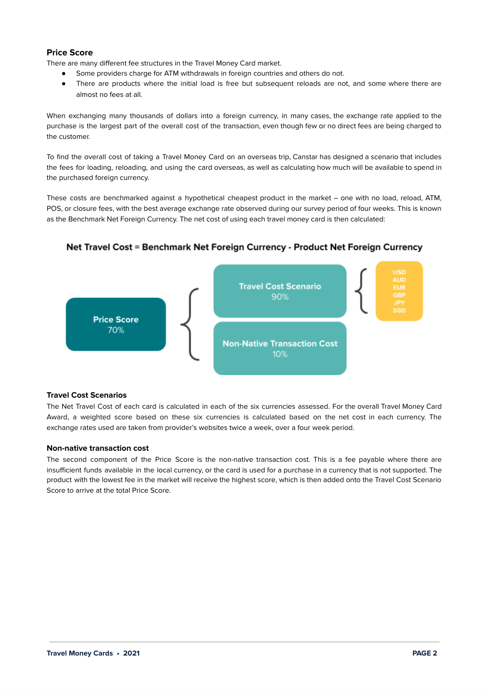## **Price Score**

There are many different fee structures in the Travel Money Card market.

- Some providers charge for ATM withdrawals in foreign countries and others do not.
- There are products where the initial load is free but subsequent reloads are not, and some where there are almost no fees at all.

When exchanging many thousands of dollars into a foreign currency, in many cases, the exchange rate applied to the purchase is the largest part of the overall cost of the transaction, even though few or no direct fees are being charged to the customer.

To find the overall cost of taking a Travel Money Card on an overseas trip, Canstar has designed a scenario that includes the fees for loading, reloading, and using the card overseas, as well as calculating how much will be available to spend in the purchased foreign currency.

These costs are benchmarked against a hypothetical cheapest product in the market – one with no load, reload, ATM, POS, or closure fees, with the best average exchange rate observed during our survey period of four weeks. This is known as the Benchmark Net Foreign Currency. The net cost of using each travel money card is then calculated:

## Net Travel Cost = Benchmark Net Foreign Currency - Product Net Foreign Currency



### **Travel Cost Scenarios**

The Net Travel Cost of each card is calculated in each of the six currencies assessed. For the overall Travel Money Card Award, a weighted score based on these six currencies is calculated based on the net cost in each currency. The exchange rates used are taken from provider's websites twice a week, over a four week period.

#### **Non-native transaction cost**

The second component of the Price Score is the non-native transaction cost. This is a fee payable where there are insufficient funds available in the local currency, or the card is used for a purchase in a currency that is not supported. The product with the lowest fee in the market will receive the highest score, which is then added onto the Travel Cost Scenario Score to arrive at the total Price Score.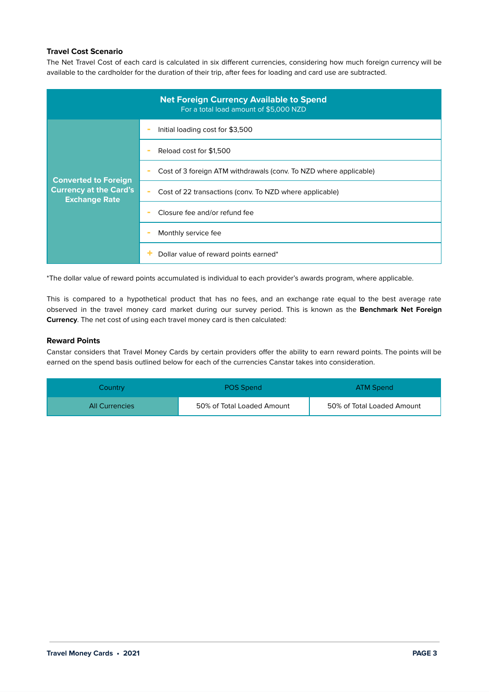## **Travel Cost Scenario**

The Net Travel Cost of each card is calculated in six different currencies, considering how much foreign currency will be available to the cardholder for the duration of their trip, after fees for loading and card use are subtracted.

| <b>Net Foreign Currency Available to Spend</b><br>For a total load amount of \$5,000 NZD |                                                                   |  |  |  |  |  |
|------------------------------------------------------------------------------------------|-------------------------------------------------------------------|--|--|--|--|--|
| <b>Converted to Foreign</b>                                                              | Initial loading cost for \$3,500                                  |  |  |  |  |  |
|                                                                                          | Reload cost for \$1,500                                           |  |  |  |  |  |
|                                                                                          | Cost of 3 foreign ATM withdrawals (conv. To NZD where applicable) |  |  |  |  |  |
| <b>Currency at the Card's</b><br><b>Exchange Rate</b>                                    | Cost of 22 transactions (conv. To NZD where applicable)           |  |  |  |  |  |
|                                                                                          | Closure fee and/or refund fee                                     |  |  |  |  |  |
|                                                                                          | Monthly service fee                                               |  |  |  |  |  |
|                                                                                          | Dollar value of reward points earned*                             |  |  |  |  |  |

\*The dollar value of reward points accumulated is individual to each provider's awards program, where applicable.

This is compared to a hypothetical product that has no fees, and an exchange rate equal to the best average rate observed in the travel money card market during our survey period. This is known as the **Benchmark Net Foreign Currency**. The net cost of using each travel money card is then calculated:

#### **Reward Points**

Canstar considers that Travel Money Cards by certain providers offer the ability to earn reward points. The points will be earned on the spend basis outlined below for each of the currencies Canstar takes into consideration.

| Country               | <b>POS Spend</b>           | ATM Spend                  |
|-----------------------|----------------------------|----------------------------|
| <b>All Currencies</b> | 50% of Total Loaded Amount | 50% of Total Loaded Amount |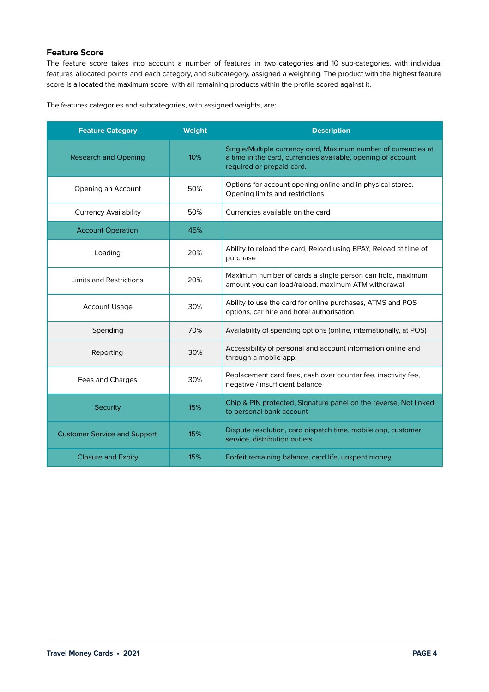## **Feature Score**

The feature score takes into account a number of features in two categories and 10 sub-categories, with individual features allocated points and each category, and subcategory, assigned a weighting. The product with the highest feature score is allocated the maximum score, with all remaining products within the profile scored against it.

The features categories and subcategories, with assigned weights, are:

| <b>Feature Category</b>             | <b>Weight</b> | <b>Description</b>                                                                                                                                          |  |
|-------------------------------------|---------------|-------------------------------------------------------------------------------------------------------------------------------------------------------------|--|
| <b>Research and Opening</b>         | 10%           | Single/Multiple currency card, Maximum number of currencies at<br>a time in the card, currencies available, opening of account<br>required or prepaid card. |  |
| Opening an Account                  | 50%           | Options for account opening online and in physical stores.<br>Opening limits and restrictions                                                               |  |
| <b>Currency Availability</b>        | 50%           | Currencies available on the card                                                                                                                            |  |
| <b>Account Operation</b>            | 45%           |                                                                                                                                                             |  |
| Loading                             | 20%           | Ability to reload the card, Reload using BPAY, Reload at time of<br>purchase                                                                                |  |
| <b>Limits and Restrictions</b>      | 20%           | Maximum number of cards a single person can hold, maximum<br>amount you can load/reload, maximum ATM withdrawal                                             |  |
| <b>Account Usage</b>                | 30%           | Ability to use the card for online purchases, ATMS and POS<br>options, car hire and hotel authorisation                                                     |  |
| Spending                            | 70%           | Availability of spending options (online, internationally, at POS)                                                                                          |  |
| Reporting                           | 30%           | Accessibility of personal and account information online and<br>through a mobile app.                                                                       |  |
| Fees and Charges                    | 30%           | Replacement card fees, cash over counter fee, inactivity fee,<br>negative / insufficient balance                                                            |  |
| Security                            | 15%           | Chip & PIN protected, Signature panel on the reverse, Not linked<br>to personal bank account                                                                |  |
| <b>Customer Service and Support</b> | 15%           | Dispute resolution, card dispatch time, mobile app, customer<br>service, distribution outlets                                                               |  |
| <b>Closure and Expiry</b>           | 15%           | Forfeit remaining balance, card life, unspent money                                                                                                         |  |